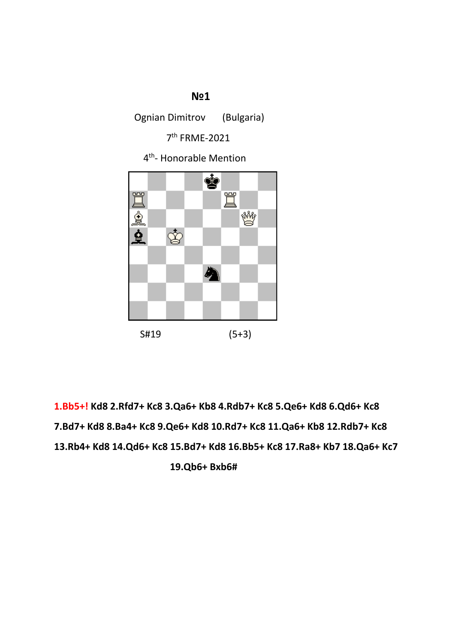#### **№1**

Ognian Dimitrov (Bulgaria)

7th FRME-2021

4th- Honorable Mention



**1.Bb5+! Kd8 2.Rfd7+ Kc8 3.Qa6+ Kb8 4.Rdb7+ Kc8 5.Qe6+ Kd8 6.Qd6+ Kc8 7.Bd7+ Kd8 8.Ba4+ Kc8 9.Qe6+ Kd8 10.Rd7+ Kc8 11.Qa6+ Kb8 12.Rdb7+ Kc8 13.Rb4+ Kd8 14.Qd6+ Kc8 15.Bd7+ Kd8 16.Bb5+ Kc8 17.Ra8+ Kb7 18.Qa6+ Kc7 19.Qb6+ Bxb6#**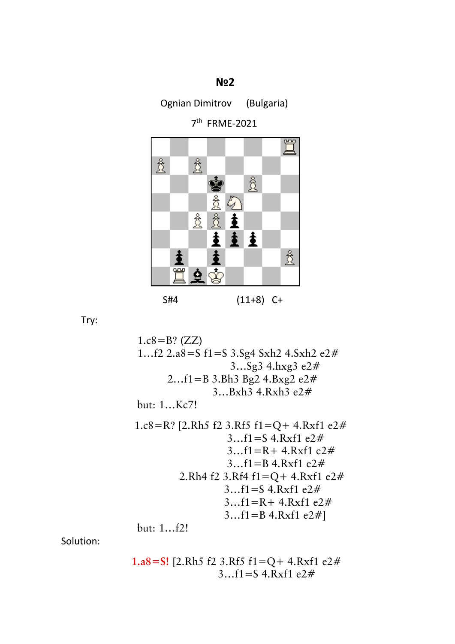### **№2**

Ognian Dimitrov (Bulgaria)

7th FRME-2021



Try:

 1.c8=B? (ZZ) 1…f2 2.a8=S f1=S 3.Sg4 Sxh2 4.Sxh2 e2# 3…Sg3 4.hxg3 e2# 2…f1=B 3.Bh3 Bg2 4.Bxg2 e2# 3…Bxh3 4.Rxh3 e2# but: 1…Kc7! 1.c8=R? [2.Rh5 f2 3.Rf5 f1=Q+ 4.Rxf1 e2# 3…f1=S 4.Rxf1 e2# 3…f1=R+ 4.Rxf1 e2# 3…f1=B 4.Rxf1 e2# 2.Rh4 f2 3.Rf4 f1=Q+ 4.Rxf1 e2# 3…f1=S 4.Rxf1 e2# 3…f1=R+ 4.Rxf1 e2# 3…f1=B 4.Rxf1 e2#] but: 1…f2!

Solution:

$$
1. a8 = S! \quad [2. Rh5 \quad \text{f2 } 3. R \quad \text{f3 } f1 = Q + 4. R \quad \text{f1 } e2 \#
$$
\n
$$
3... f1 = S \quad \text{f1 } x \quad \text{f2 } \#
$$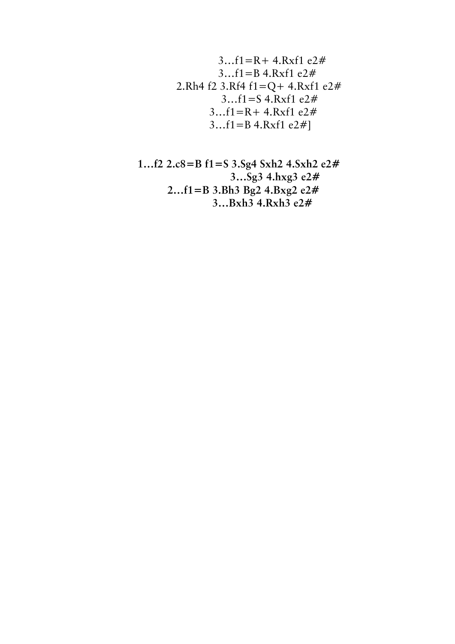$$
3...f1 = R + 4.Rxf1 e2#3...f1 = B 4.Rxf1 e2#2.Rh4 f2 3.Rf4 f1 = Q + 4.Rxf1 e2#3...f1 = S 4.Rxf1 e2#3...f1 = R + 4.Rxf1 e2#3...f1 = B 4.Rxf1 e2#]
$$

$$
1...f2 2.c8=B f1=S 3.Sg4 Sxh2 4.Sxh2 e2#3...Sg3 4.hxg3 e2#2...f1=B 3.Bh3 Bg2 4.Bxg2 e2#3...Bxh3 4.Rxh3 e2#
$$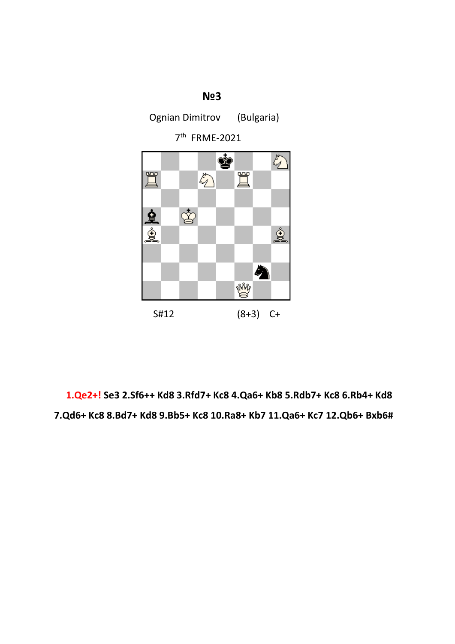

 **1.Qe2+! Se3 2.Sf6++ Kd8 3.Rfd7+ Kc8 4.Qa6+ Kb8 5.Rdb7+ Kc8 6.Rb4+ Kd8 7.Qd6+ Kc8 8.Bd7+ Kd8 9.Bb5+ Kc8 10.Ra8+ Kb7 11.Qa6+ Kc7 12.Qb6+ Bxb6#**

### **№3**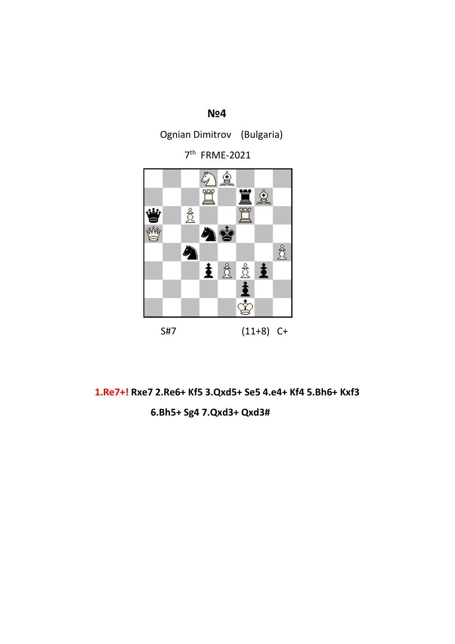### **№4**

Ognian Dimitrov (Bulgaria)

7th FRME-2021



**1.Re7+! Rxe7 2.Re6+ Kf5 3.Qxd5+ Se5 4.e4+ Kf4 5.Bh6+ Kxf3 6.Bh5+ Sg4 7.Qxd3+ Qxd3#**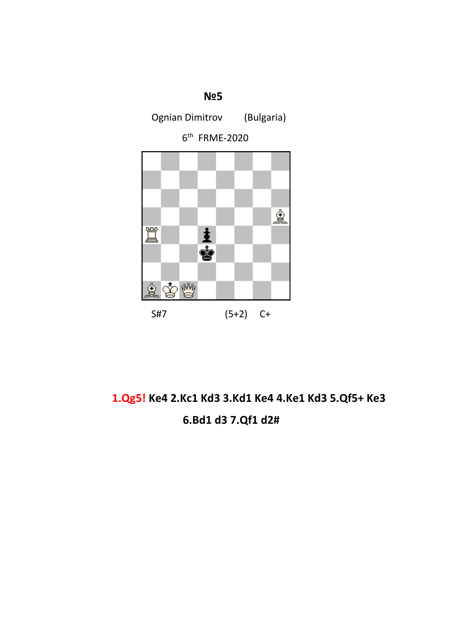

# **1.Qg5! Ke4 2.Kc1 Kd3 3.Kd1 Ke4 4.Ke1 Kd3 5.Qf5+ Ke3 6.Bd1 d3 7.Qf1 d2#**